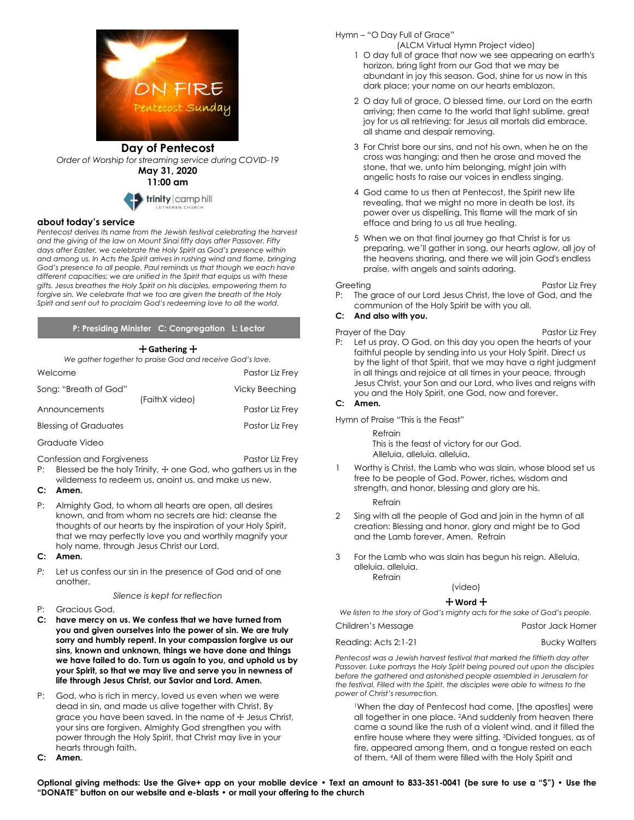

## **Day of Pentecost** *Order of Worship for streaming service during COVID-19* **May 31, 2020**

**11:00 am**



#### **about today's service**

Pentecost derives its name from the Jewish festival celebrating the harvest *and the giving of the law on Mount Sinai fifty days after Passover. Fifty days after Easter, we celebrate the Holy Spirit as God's presence within and among us. In Acts the Spirit arrives in rushing wind and flame, bringing God's presence to all people. Paul reminds us that though we each have different capacities; we are unified in the Spirit that equips us with these gifts. Jesus breathes the Holy Spirit on his disciples, empowering them to forgive sin. We celebrate that we too are given the breath of the Holy Spirit and sent out to proclaim God's redeeming love to all the world.*

**P: Presiding Minister C: Congregation L: Lector**

### + **Gathering** +

*We gather together to praise God and receive God's love.*

| Welcome                      |                | Pastor Liz Frey       |
|------------------------------|----------------|-----------------------|
| Song: "Breath of God"        | (FaithX video) | <b>Vicky Beeching</b> |
| Announcements                |                | Pastor Liz Frey       |
| <b>Blessing of Graduates</b> |                | Pastor Liz Frey       |
| Graduate Video               |                |                       |

Confession and Forgiveness **Pastor Liz Frey** 

- P: Blessed be the holy Trinity,  $\pm$  one God, who gathers us in the
- wilderness to redeem us, anoint us, and make us new.

### **C: Amen.**

- P: Almighty God, to whom all hearts are open, all desires known, and from whom no secrets are hid: cleanse the thoughts of our hearts by the inspiration of your Holy Spirit, that we may perfectly love you and worthily magnify your holy name, through Jesus Christ our Lord.
- **C: Amen.**
- *P:* Let us confess our sin in the presence of God and of one another.

#### *Silence is kept for reflection*

- P: Gracious God,
- **C: have mercy on us. We confess that we have turned from you and given ourselves into the power of sin. We are truly sorry and humbly repent. In your compassion forgive us our sins, known and unknown, things we have done and things we have failed to do. Turn us again to you, and uphold us by your Spirit, so that we may live and serve you in newness of life through Jesus Christ, our Savior and Lord. Amen.**
- P: God, who is rich in mercy, loved us even when we were dead in sin, and made us alive together with Christ. By grace you have been saved. In the name of + Jesus Christ, your sins are forgiven. Almighty God strengthen you with power through the Holy Spirit, that Christ may live in your hearts through faith.
- **C: Amen.**
- Hymn "O Day Full of Grace"
	- (ALCM Virtual Hymn Project video) 1 O day full of grace that now we see appearing on earth's horizon, bring light from our God that we may be abundant in joy this season. God, shine for us now in this dark place; your name on our hearts emblazon.
	- 2 O day full of grace, O blessed time, our Lord on the earth arriving; then came to the world that light sublime, great joy for us all retrieving; for Jesus all mortals did embrace, all shame and despair removing.
	- 3 For Christ bore our sins, and not his own, when he on the cross was hanging; and then he arose and moved the stone, that we, unto him belonging, might join with angelic hosts to raise our voices in endless singing.
	- 4 God came to us then at Pentecost, the Spirit new life revealing, that we might no more in death be lost, its power over us dispelling. This flame will the mark of sin efface and bring to us all true healing.
	- 5 When we on that final journey go that Christ is for us preparing, we'll gather in song, our hearts aglow, all joy of the heavens sharing, and there we will join God's endless praise, with angels and saints adoring.

- Greeting **Pastor Liz Frey** P: The grace of our Lord Jesus Christ, the love of God, and the communion of the Holy Spirit be with you all.
- **C: And also with you.**
- Prayer of the Day **Prayers** Pastor Liz Frey P: Let us pray. O God, on this day you open the hearts of your faithful people by sending into us your Holy Spirit. Direct us by the light of that Spirit, that we may have a right judgment in all things and rejoice at all times in your peace, through Jesus Christ, your Son and our Lord, who lives and reigns with you and the Holy Spirit, one God, now and forever.

# **C: Amen.**

Hymn of Praise "This is the Feast"

Refrain This is the feast of victory for our God. Alleluia, alleluia. alleluia.

1 Worthy is Christ, the Lamb who was slain, whose blood set us free to be people of God. Power, riches, wisdom and strength, and honor, blessing and glory are his.

Refrain

- 2 Sing with all the people of God and join in the hymn of all creation: Blessing and honor, glory and might be to God and the Lamb forever. Amen. Refrain
- 3 For the Lamb who was slain has begun his reign. Alleluia, alleluia. alleluia.

Refrain

# (video)

+ **Word** +

*We listen to the story of God's mighty acts for the sake of God's people.* Children's Message **Pastor Jack Horner** Pastor Jack Horner

| <u>Children shripssago</u> | וטוווטו ומטופט וטונט ו |
|----------------------------|------------------------|
| Reading: Acts 2:1-21       | <b>Bucky Walters</b>   |

*Pentecost was a Jewish harvest festival that marked the fiftieth day after Passover. Luke portrays the Holy Spirit being poured out upon the disciples before the gathered and astonished people assembled in Jerusalem for the festival. Filled with the Spirit, the disciples were able to witness to the power of Christ's resurrection.*

<sup>1</sup>When the day of Pentecost had come, [the apostles] were all together in one place. <sup>2</sup>And suddenly from heaven there came a sound like the rush of a violent wind, and it filled the entire house where they were sitting. <sup>3</sup>Divided tongues, as of fire, appeared among them, and a tongue rested on each of them. <sup>4</sup>All of them were filled with the Holy Spirit and

**Optional giving methods: Use the Give+ app on your mobile device • Text an amount to 833-351-0041 (be sure to use a "\$") • Use the "DONATE" button on our website and e-blasts • or mail your offering to the church**